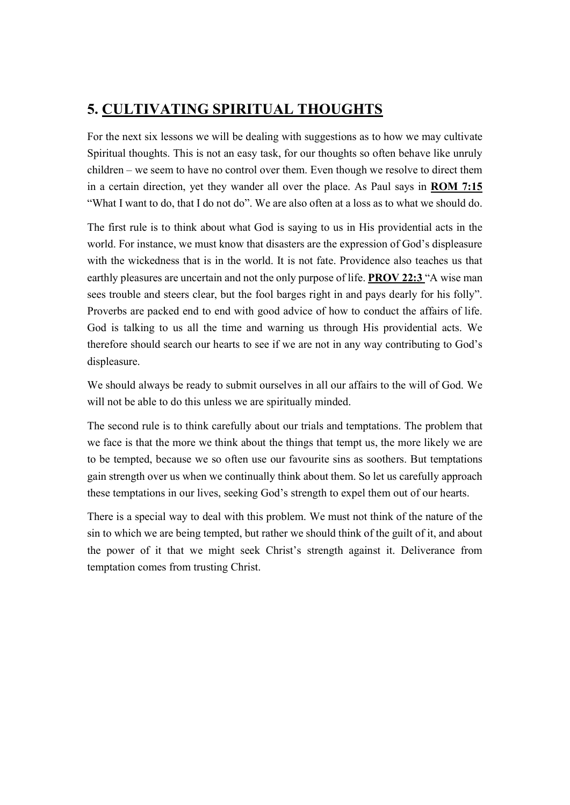## 5. CULTIVATING SPIRITUAL THOUGHTS

For the next six lessons we will be dealing with suggestions as to how we may cultivate Spiritual thoughts. This is not an easy task, for our thoughts so often behave like unruly children – we seem to have no control over them. Even though we resolve to direct them in a certain direction, yet they wander all over the place. As Paul says in ROM 7:15 "What I want to do, that I do not do". We are also often at a loss as to what we should do.

The first rule is to think about what God is saying to us in His providential acts in the world. For instance, we must know that disasters are the expression of God's displeasure with the wickedness that is in the world. It is not fate. Providence also teaches us that earthly pleasures are uncertain and not the only purpose of life. **PROV 22:3** "A wise man sees trouble and steers clear, but the fool barges right in and pays dearly for his folly". Proverbs are packed end to end with good advice of how to conduct the affairs of life. God is talking to us all the time and warning us through His providential acts. We therefore should search our hearts to see if we are not in any way contributing to God's displeasure.

We should always be ready to submit ourselves in all our affairs to the will of God. We will not be able to do this unless we are spiritually minded.

The second rule is to think carefully about our trials and temptations. The problem that we face is that the more we think about the things that tempt us, the more likely we are to be tempted, because we so often use our favourite sins as soothers. But temptations gain strength over us when we continually think about them. So let us carefully approach these temptations in our lives, seeking God's strength to expel them out of our hearts.

There is a special way to deal with this problem. We must not think of the nature of the sin to which we are being tempted, but rather we should think of the guilt of it, and about the power of it that we might seek Christ's strength against it. Deliverance from temptation comes from trusting Christ.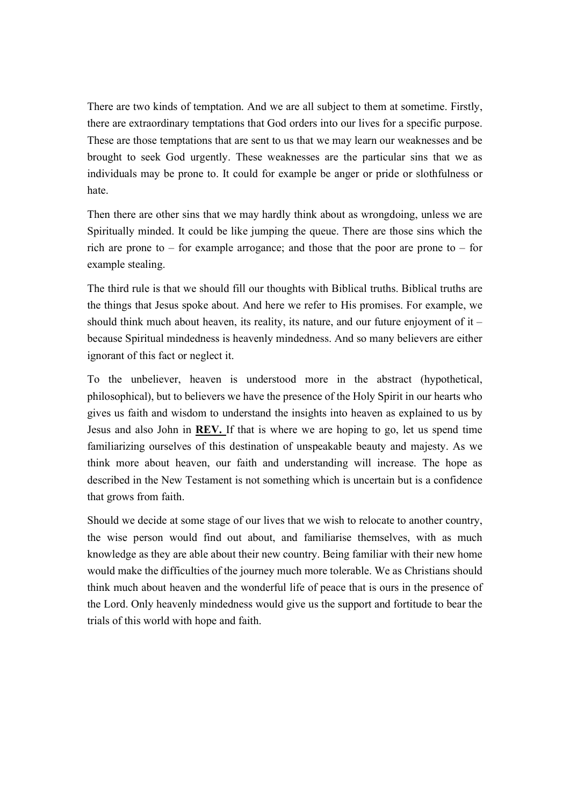There are two kinds of temptation. And we are all subject to them at sometime. Firstly, there are extraordinary temptations that God orders into our lives for a specific purpose. These are those temptations that are sent to us that we may learn our weaknesses and be brought to seek God urgently. These weaknesses are the particular sins that we as individuals may be prone to. It could for example be anger or pride or slothfulness or hate.

Then there are other sins that we may hardly think about as wrongdoing, unless we are Spiritually minded. It could be like jumping the queue. There are those sins which the rich are prone to  $-$  for example arrogance; and those that the poor are prone to  $-$  for example stealing.

The third rule is that we should fill our thoughts with Biblical truths. Biblical truths are the things that Jesus spoke about. And here we refer to His promises. For example, we should think much about heaven, its reality, its nature, and our future enjoyment of it – because Spiritual mindedness is heavenly mindedness. And so many believers are either ignorant of this fact or neglect it.

To the unbeliever, heaven is understood more in the abstract (hypothetical, philosophical), but to believers we have the presence of the Holy Spirit in our hearts who gives us faith and wisdom to understand the insights into heaven as explained to us by Jesus and also John in REV. If that is where we are hoping to go, let us spend time familiarizing ourselves of this destination of unspeakable beauty and majesty. As we think more about heaven, our faith and understanding will increase. The hope as described in the New Testament is not something which is uncertain but is a confidence that grows from faith.

Should we decide at some stage of our lives that we wish to relocate to another country, the wise person would find out about, and familiarise themselves, with as much knowledge as they are able about their new country. Being familiar with their new home would make the difficulties of the journey much more tolerable. We as Christians should think much about heaven and the wonderful life of peace that is ours in the presence of the Lord. Only heavenly mindedness would give us the support and fortitude to bear the trials of this world with hope and faith.